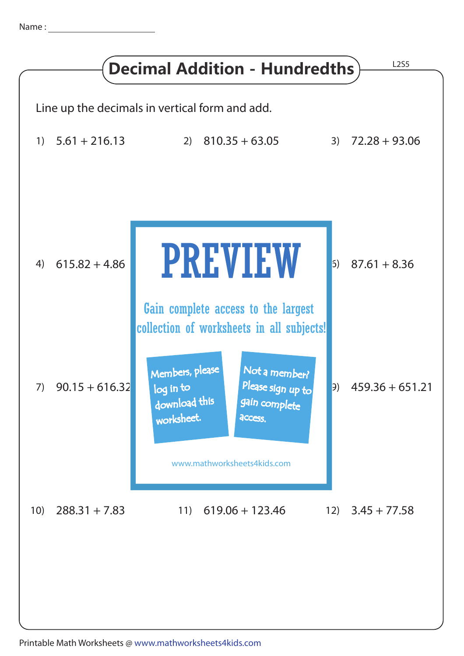